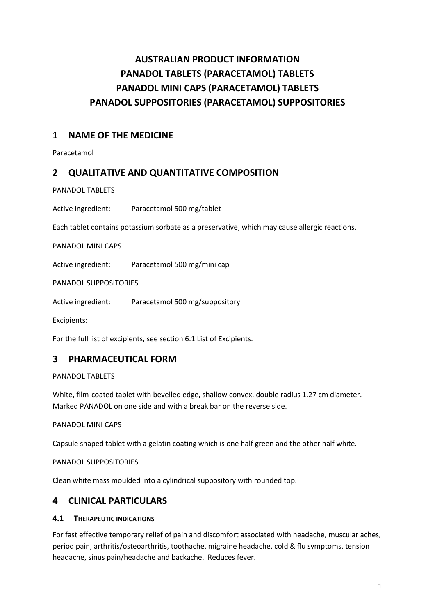# **AUSTRALIAN PRODUCT INFORMATION PANADOL TABLETS (PARACETAMOL) TABLETS PANADOL MINI CAPS (PARACETAMOL) TABLETS PANADOL SUPPOSITORIES (PARACETAMOL) SUPPOSITORIES**

# **1 NAME OF THE MEDICINE**

Paracetamol

# **2 QUALITATIVE AND QUANTITATIVE COMPOSITION**

PANADOL TABLETS

Active ingredient: Paracetamol 500 mg/tablet

Each tablet contains potassium sorbate as a preservative, which may cause allergic reactions.

PANADOL MINI CAPS

Active ingredient: Paracetamol 500 mg/mini cap

PANADOL SUPPOSITORIES

Active ingredient: Paracetamol 500 mg/suppository

Excipients:

For the full list of excipients, see section 6.1 List of Excipients.

### **3 PHARMACEUTICAL FORM**

PANADOL TABLETS

White, film-coated tablet with bevelled edge, shallow convex, double radius 1.27 cm diameter. Marked PANADOL on one side and with a break bar on the reverse side.

PANADOL MINI CAPS

Capsule shaped tablet with a gelatin coating which is one half green and the other half white.

PANADOL SUPPOSITORIES

Clean white mass moulded into a cylindrical suppository with rounded top.

### **4 CLINICAL PARTICULARS**

### **4.1 THERAPEUTIC INDICATIONS**

For fast effective temporary relief of pain and discomfort associated with headache, muscular aches, period pain, arthritis/osteoarthritis, toothache, migraine headache, cold & flu symptoms, tension headache, sinus pain/headache and backache. Reduces fever.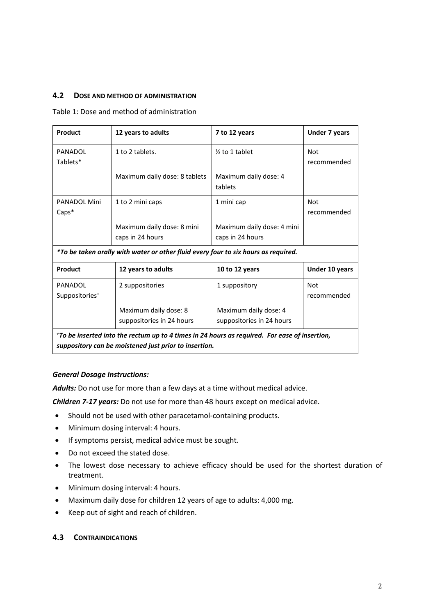### **4.2 DOSE AND METHOD OF ADMINISTRATION**

#### Table 1: Dose and method of administration

| Product                                                                                                                                                                                                          | 12 years to adults            | 7 to 12 years              | <b>Under 7 years</b> |  |
|------------------------------------------------------------------------------------------------------------------------------------------------------------------------------------------------------------------|-------------------------------|----------------------------|----------------------|--|
| PANADOL                                                                                                                                                                                                          | 1 to 2 tablets.               | $\frac{1}{2}$ to 1 tablet  | <b>Not</b>           |  |
| Tablets*                                                                                                                                                                                                         |                               |                            | recommended          |  |
|                                                                                                                                                                                                                  | Maximum daily dose: 8 tablets | Maximum daily dose: 4      |                      |  |
|                                                                                                                                                                                                                  |                               | tablets                    |                      |  |
| <b>PANADOL Mini</b>                                                                                                                                                                                              | 1 to 2 mini caps              | 1 mini cap                 | <b>Not</b>           |  |
| $Caps*$                                                                                                                                                                                                          |                               |                            | recommended          |  |
|                                                                                                                                                                                                                  | Maximum daily dose: 8 mini    | Maximum daily dose: 4 mini |                      |  |
|                                                                                                                                                                                                                  | caps in 24 hours              | caps in 24 hours           |                      |  |
| *To be taken orally with water or other fluid every four to six hours as required.                                                                                                                               |                               |                            |                      |  |
| Product                                                                                                                                                                                                          | 12 years to adults            | 10 to 12 years             | Under 10 years       |  |
| PANADOL                                                                                                                                                                                                          | 2 suppositories               | 1 suppository              | <b>Not</b>           |  |
| Suppositories <sup>+</sup>                                                                                                                                                                                       |                               |                            | recommended          |  |
|                                                                                                                                                                                                                  | Maximum daily dose: 8         | Maximum daily dose: 4      |                      |  |
|                                                                                                                                                                                                                  | suppositories in 24 hours     | suppositories in 24 hours  |                      |  |
| *To be inserted into the rectum up to 4 times in 24 hours as required. For ease of insertion,<br>the contract of the contract of the contract of the contract of the contract of the contract of the contract of |                               |                            |                      |  |

*suppository can be moistened just prior to insertion.*

#### *General Dosage Instructions:*

*Adults:* Do not use for more than a few days at a time without medical advice.

*Children 7-17 years:* Do not use for more than 48 hours except on medical advice.

- Should not be used with other paracetamol-containing products.
- Minimum dosing interval: 4 hours.
- If symptoms persist, medical advice must be sought.
- Do not exceed the stated dose.
- The lowest dose necessary to achieve efficacy should be used for the shortest duration of treatment.
- Minimum dosing interval: 4 hours.
- Maximum daily dose for children 12 years of age to adults: 4,000 mg.
- Keep out of sight and reach of children.

#### **4.3 CONTRAINDICATIONS**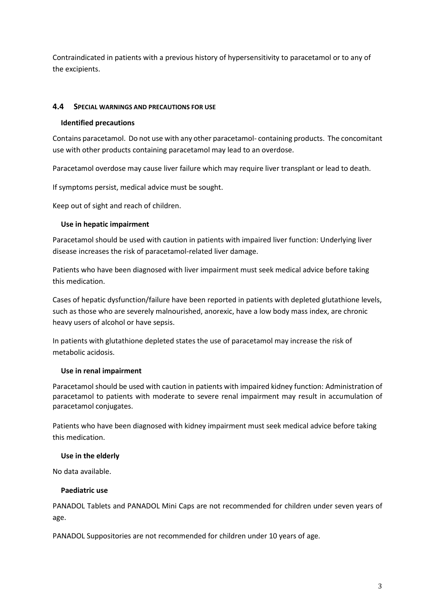Contraindicated in patients with a previous history of hypersensitivity to paracetamol or to any of the excipients.

### **4.4 SPECIAL WARNINGS AND PRECAUTIONS FOR USE**

#### **Identified precautions**

Contains paracetamol. Do not use with any other paracetamol- containing products. The concomitant use with other products containing paracetamol may lead to an overdose.

Paracetamol overdose may cause liver failure which may require liver transplant or lead to death.

If symptoms persist, medical advice must be sought.

Keep out of sight and reach of children.

### **Use in hepatic impairment**

Paracetamol should be used with caution in patients with impaired liver function: Underlying liver disease increases the risk of paracetamol-related liver damage.

Patients who have been diagnosed with liver impairment must seek medical advice before taking this medication.

Cases of hepatic dysfunction/failure have been reported in patients with depleted glutathione levels, such as those who are severely malnourished, anorexic, have a low body mass index, are chronic heavy users of alcohol or have sepsis.

In patients with glutathione depleted states the use of paracetamol may increase the risk of metabolic acidosis.

#### **Use in renal impairment**

Paracetamol should be used with caution in patients with impaired kidney function: Administration of paracetamol to patients with moderate to severe renal impairment may result in accumulation of paracetamol conjugates.

Patients who have been diagnosed with kidney impairment must seek medical advice before taking this medication.

#### **Use in the elderly**

No data available.

#### **Paediatric use**

PANADOL Tablets and PANADOL Mini Caps are not recommended for children under seven years of age.

PANADOL Suppositories are not recommended for children under 10 years of age.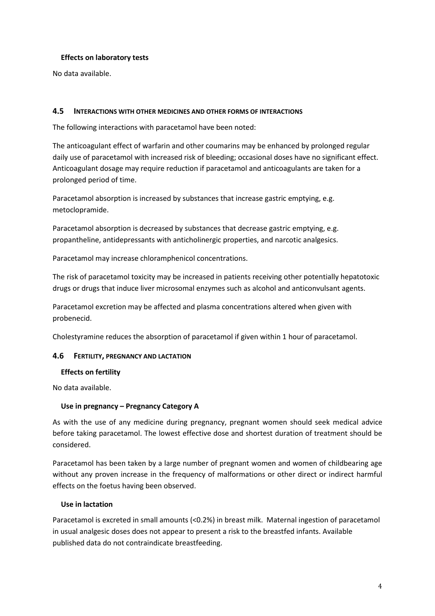### **Effects on laboratory tests**

No data available.

### **4.5 INTERACTIONS WITH OTHER MEDICINES AND OTHER FORMS OF INTERACTIONS**

The following interactions with paracetamol have been noted:

The anticoagulant effect of warfarin and other coumarins may be enhanced by prolonged regular daily use of paracetamol with increased risk of bleeding; occasional doses have no significant effect. Anticoagulant dosage may require reduction if paracetamol and anticoagulants are taken for a prolonged period of time.

Paracetamol absorption is increased by substances that increase gastric emptying, e.g. metoclopramide.

Paracetamol absorption is decreased by substances that decrease gastric emptying, e.g. propantheline, antidepressants with anticholinergic properties, and narcotic analgesics.

Paracetamol may increase chloramphenicol concentrations.

The risk of paracetamol toxicity may be increased in patients receiving other potentially hepatotoxic drugs or drugs that induce liver microsomal enzymes such as alcohol and anticonvulsant agents.

Paracetamol excretion may be affected and plasma concentrations altered when given with probenecid.

Cholestyramine reduces the absorption of paracetamol if given within 1 hour of paracetamol.

#### **4.6 FERTILITY, PREGNANCY AND LACTATION**

#### **Effects on fertility**

No data available.

#### **Use in pregnancy – Pregnancy Category A**

As with the use of any medicine during pregnancy, pregnant women should seek medical advice before taking paracetamol. The lowest effective dose and shortest duration of treatment should be considered.

Paracetamol has been taken by a large number of pregnant women and women of childbearing age without any proven increase in the frequency of malformations or other direct or indirect harmful effects on the foetus having been observed.

#### **Use in lactation**

Paracetamol is excreted in small amounts (<0.2%) in breast milk. Maternal ingestion of paracetamol in usual analgesic doses does not appear to present a risk to the breastfed infants. Available published data do not contraindicate breastfeeding.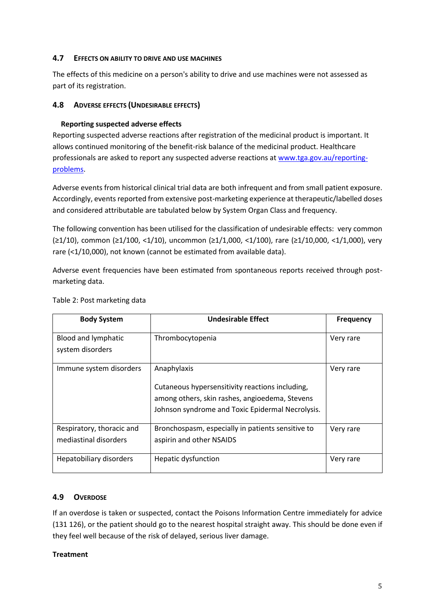### **4.7 EFFECTS ON ABILITY TO DRIVE AND USE MACHINES**

The effects of this medicine on a person's ability to drive and use machines were not assessed as part of its registration.

### **4.8 ADVERSE EFFECTS (UNDESIRABLE EFFECTS)**

### **Reporting suspected adverse effects**

Reporting suspected adverse reactions after registration of the medicinal product is important. It allows continued monitoring of the benefit-risk balance of the medicinal product. Healthcare professionals are asked to report any suspected adverse reactions at [www.tga.gov.au/reporting](http://www.tga.gov.au/reporting-problems)[problems.](http://www.tga.gov.au/reporting-problems)

Adverse events from historical clinical trial data are both infrequent and from small patient exposure. Accordingly, events reported from extensive post-marketing experience at therapeutic/labelled doses and considered attributable are tabulated below by System Organ Class and frequency.

The following convention has been utilised for the classification of undesirable effects: very common (≥1/10), common (≥1/100, <1/10), uncommon (≥1/1,000, <1/100), rare (≥1/10,000, <1/1,000), very rare (<1/10,000), not known (cannot be estimated from available data).

Adverse event frequencies have been estimated from spontaneous reports received through postmarketing data.

| <b>Body System</b>                                 | <b>Undesirable Effect</b>                                                                                                                                            | <b>Frequency</b> |
|----------------------------------------------------|----------------------------------------------------------------------------------------------------------------------------------------------------------------------|------------------|
| Blood and lymphatic<br>system disorders            | Thrombocytopenia                                                                                                                                                     | Very rare        |
| Immune system disorders                            | Anaphylaxis<br>Cutaneous hypersensitivity reactions including,<br>among others, skin rashes, angioedema, Stevens<br>Johnson syndrome and Toxic Epidermal Necrolysis. | Very rare        |
| Respiratory, thoracic and<br>mediastinal disorders | Bronchospasm, especially in patients sensitive to<br>aspirin and other NSAIDS                                                                                        | Very rare        |
| Hepatobiliary disorders                            | Hepatic dysfunction                                                                                                                                                  | Very rare        |

### Table 2: Post marketing data

### **4.9 OVERDOSE**

If an overdose is taken or suspected, contact the Poisons Information Centre immediately for advice (131 126), or the patient should go to the nearest hospital straight away. This should be done even if they feel well because of the risk of delayed, serious liver damage.

### **Treatment**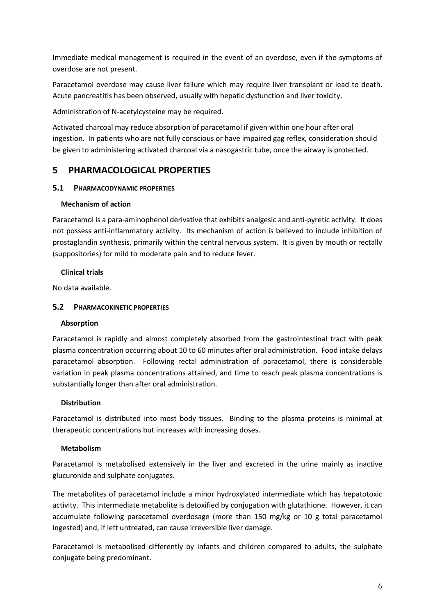Immediate medical management is required in the event of an overdose, even if the symptoms of overdose are not present.

Paracetamol overdose may cause liver failure which may require liver transplant or lead to death. Acute pancreatitis has been observed, usually with hepatic dysfunction and liver toxicity.

Administration of N-acetylcysteine may be required.

Activated charcoal may reduce absorption of paracetamol if given within one hour after oral ingestion. In patients who are not fully conscious or have impaired gag reflex, consideration should be given to administering activated charcoal via a nasogastric tube, once the airway is protected.

# **5 PHARMACOLOGICAL PROPERTIES**

### **5.1 PHARMACODYNAMIC PROPERTIES**

### **Mechanism of action**

Paracetamol is a para-aminophenol derivative that exhibits analgesic and anti-pyretic activity. It does not possess anti-inflammatory activity. Its mechanism of action is believed to include inhibition of prostaglandin synthesis, primarily within the central nervous system. It is given by mouth or rectally (suppositories) for mild to moderate pain and to reduce fever.

### **Clinical trials**

No data available.

### **5.2 PHARMACOKINETIC PROPERTIES**

### **Absorption**

Paracetamol is rapidly and almost completely absorbed from the gastrointestinal tract with peak plasma concentration occurring about 10 to 60 minutes after oral administration. Food intake delays paracetamol absorption. Following rectal administration of paracetamol, there is considerable variation in peak plasma concentrations attained, and time to reach peak plasma concentrations is substantially longer than after oral administration.

### **Distribution**

Paracetamol is distributed into most body tissues. Binding to the plasma proteins is minimal at therapeutic concentrations but increases with increasing doses.

### **Metabolism**

Paracetamol is metabolised extensively in the liver and excreted in the urine mainly as inactive glucuronide and sulphate conjugates.

The metabolites of paracetamol include a minor hydroxylated intermediate which has hepatotoxic activity. This intermediate metabolite is detoxified by conjugation with glutathione. However, it can accumulate following paracetamol overdosage (more than 150 mg/kg or 10 g total paracetamol ingested) and, if left untreated, can cause irreversible liver damage.

Paracetamol is metabolised differently by infants and children compared to adults, the sulphate conjugate being predominant.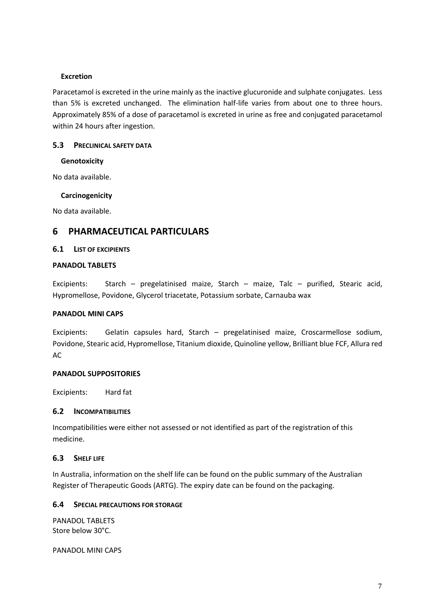#### **Excretion**

Paracetamol is excreted in the urine mainly as the inactive glucuronide and sulphate conjugates. Less than 5% is excreted unchanged. The elimination half-life varies from about one to three hours. Approximately 85% of a dose of paracetamol is excreted in urine as free and conjugated paracetamol within 24 hours after ingestion.

### **5.3 PRECLINICAL SAFETY DATA**

### **Genotoxicity**

No data available.

### **Carcinogenicity**

No data available.

## **6 PHARMACEUTICAL PARTICULARS**

### **6.1 LIST OF EXCIPIENTS**

### **PANADOL TABLETS**

Excipients: Starch – pregelatinised maize, Starch – maize, Talc – purified, Stearic acid, Hypromellose, Povidone, Glycerol triacetate, Potassium sorbate, Carnauba wax

#### **PANADOL MINI CAPS**

Excipients: Gelatin capsules hard, Starch – pregelatinised maize, Croscarmellose sodium, Povidone, Stearic acid, Hypromellose, Titanium dioxide, Quinoline yellow, Brilliant blue FCF, Allura red AC

#### **PANADOL SUPPOSITORIES**

Excipients: Hard fat

### **6.2 INCOMPATIBILITIES**

Incompatibilities were either not assessed or not identified as part of the registration of this medicine.

### **6.3 SHELF LIFE**

In Australia, information on the shelf life can be found on the public summary of the Australian Register of Therapeutic Goods (ARTG). The expiry date can be found on the packaging.

#### **6.4 SPECIAL PRECAUTIONS FOR STORAGE**

PANADOL TABLETS Store below 30°C.

PANADOL MINI CAPS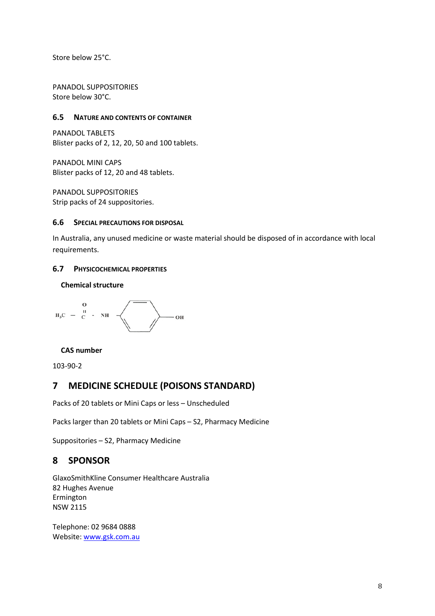Store below 25°C.

PANADOL SUPPOSITORIES Store below 30°C.

#### **6.5 NATURE AND CONTENTS OF CONTAINER**

PANADOL TABLETS Blister packs of 2, 12, 20, 50 and 100 tablets.

PANADOL MINI CAPS Blister packs of 12, 20 and 48 tablets.

PANADOL SUPPOSITORIES Strip packs of 24 suppositories.

#### **6.6 SPECIAL PRECAUTIONS FOR DISPOSAL**

In Australia, any unused medicine or waste material should be disposed of in accordance with local requirements.

#### **6.7 PHYSICOCHEMICAL PROPERTIES**

### **Chemical structure**



#### **CAS number**

103-90-2

### **7 MEDICINE SCHEDULE (POISONS STANDARD)**

Packs of 20 tablets or Mini Caps or less – Unscheduled

Packs larger than 20 tablets or Mini Caps – S2, Pharmacy Medicine

Suppositories – S2, Pharmacy Medicine

### **8 SPONSOR**

GlaxoSmithKline Consumer Healthcare Australia 82 Hughes Avenue Ermington NSW 2115

Telephone: 02 9684 0888 Website[: www.gsk.com.au](http://www.gsk.com.au/)